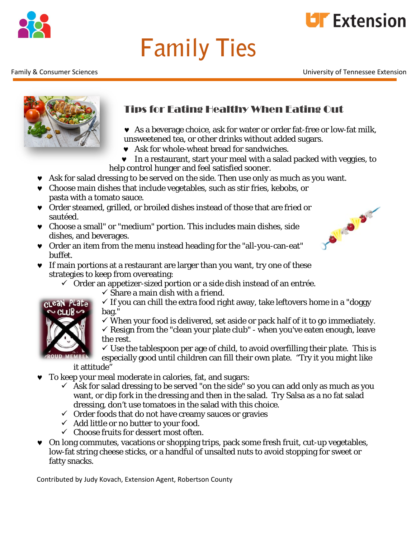# **Family Ties**

**UF** Extension



# Tips for Eating Healthy When Eating Out

- ♥ As a beverage choice, ask for water or order fat-free or low-fat milk, unsweetened tea, or other drinks without added sugars.
- ♥ Ask for whole-wheat bread for sandwiches.
- ♥ In a restaurant, start your meal with a salad packed with veggies, to help control hunger and feel satisfied sooner.
- ♥ Ask for salad dressing to be served on the side. Then use only as much as you want.
- ♥ Choose main dishes that include vegetables, such as stir fries, kebobs, or pasta with a tomato sauce.
- ♥ Order steamed, grilled, or broiled dishes instead of those that are fried or sautéed.
- ♥ Choose a small" or "medium" portion. This includes main dishes, side dishes, and beverages.
- ♥ Order an item from the menu instead heading for the "all-you-can-eat" buffet.
- ♥ If main portions at a restaurant are larger than you want, try one of these strategies to keep from overeating:
	- $\checkmark$  Order an appetizer-sized portion or a side dish instead of an entrée.



 $\checkmark$  If you can chill the extra food right away, take leftovers home in a "doggy bag."

 $\checkmark$  When your food is delivered, set aside or pack half of it to go immediately.  $\checkmark$  Resign from the "clean your plate club" - when you've eaten enough, leave the rest.

 $\checkmark$  Use the tablespoon per age of child, to avoid overfilling their plate. This is

especially good until children can fill their own plate. "Try it you might like it attitude"

- To keep your meal moderate in calories, fat, and sugars:
	- $\checkmark$  Ask for salad dressing to be served "on the side" so you can add only as much as you want, or dip fork in the dressing and then in the salad. Try Salsa as a no fat salad dressing, don't use tomatoes in the salad with this choice.
	- $\checkmark$  Order foods that do not have creamy sauces or gravies
	- $\checkmark$  Add little or no butter to your food.
	- $\checkmark$  Choose fruits for dessert most often.
- ♥ On long commutes, vacations or shopping trips, pack some fresh fruit, cut-up vegetables, low-fat string cheese sticks, or a handful of unsalted nuts to avoid stopping for sweet or fatty snacks.

Contributed by Judy Kovach, Extension Agent, Robertson County





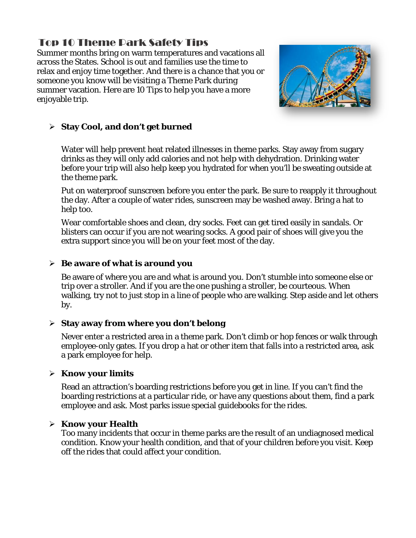# Top 10 Theme Park Safety Tips

Summer months bring on warm temperatures and vacations all across the States. School is out and families use the time to relax and enjoy time together. And there is a chance that you or someone you know will be visiting a Theme Park during summer vacation. Here are 10 Tips to help you have a more enjoyable trip.



#### **Stay Cool, and don't get burned**

Water will help prevent heat related illnesses in theme parks. Stay away from sugary drinks as they will only add calories and not help with dehydration. Drinking water before your trip will also help keep you hydrated for when you'll be sweating outside at the theme park.

Put on waterproof sunscreen before you enter the park. Be sure to reapply it throughout the day. After a couple of water rides, sunscreen may be washed away. Bring a hat to help too.

Wear comfortable shoes and clean, dry socks. Feet can get tired easily in sandals. Or blisters can occur if you are not wearing socks. A good pair of shoes will give you the extra support since you will be on your feet most of the day.

#### **Be aware of what is around you**

Be aware of where you are and what is around you. Don't stumble into someone else or trip over a stroller. And if you are the one pushing a stroller, be courteous. When walking, try not to just stop in a line of people who are walking. Step aside and let others by.

#### **Stay away from where you don't belong**

Never enter a restricted area in a theme park. Don't climb or hop fences or walk through employee-only gates. If you drop a hat or other item that falls into a restricted area, ask a park employee for help.

#### **Know your limits**

Read an attraction's boarding restrictions before you get in line. If you can't find the boarding restrictions at a particular ride, or have any questions about them, find a park employee and ask. Most parks issue special guidebooks for the rides.

#### **Know your Health**

Too many incidents that occur in theme parks are the result of an undiagnosed medical condition. Know your health condition, and that of your children before you visit. Keep off the rides that could affect your condition.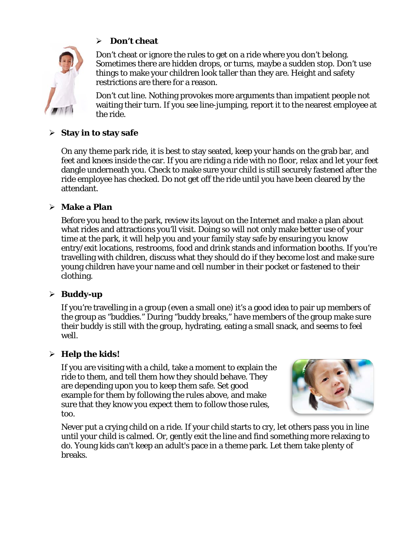# **Don't cheat**

Don't cheat or ignore the rules to get on a ride where you don't belong. Sometimes there are hidden drops, or turns, maybe a sudden stop. Don't use things to make your children look taller than they are. Height and safety restrictions are there for a reason.

Don't cut line. Nothing provokes more arguments than impatient people not waiting their turn. If you see line-jumping, report it to the nearest employee at the ride.

### **Stay in to stay safe**

On any theme park ride, it is best to stay seated, keep your hands on the grab bar, and feet and knees inside the car. If you are riding a ride with no floor, relax and let your feet dangle underneath you. Check to make sure your child is still securely fastened after the ride employee has checked. Do not get off the ride until you have been cleared by the attendant.

#### **Make a Plan**

Before you head to the park, review its layout on the Internet and make a plan about what rides and attractions you'll visit. Doing so will not only make better use of your time at the park, it will help you and your family stay safe by ensuring you know entry/exit locations, restrooms, food and drink stands and information booths. If you're travelling with children, discuss what they should do if they become lost and make sure young children have your name and cell number in their pocket or fastened to their clothing.

#### **Buddy-up**

If you're travelling in a group (even a small one) it's a good idea to pair up members of the group as "buddies." During "buddy breaks," have members of the group make sure their buddy is still with the group, hydrating, eating a small snack, and seems to feel well.

#### **Help the kids!**

If you are visiting with a child, take a moment to explain the ride to them, and tell them how they should behave. They are depending upon you to keep them safe. Set good example for them by following the rules above, and make sure that they know you expect them to follow those rules, too.



Never put a crying child on a ride. If your child starts to cry, let others pass you in line until your child is calmed. Or, gently exit the line and find something more relaxing to do. Young kids can't keep an adult's pace in a theme park. Let them take plenty of breaks.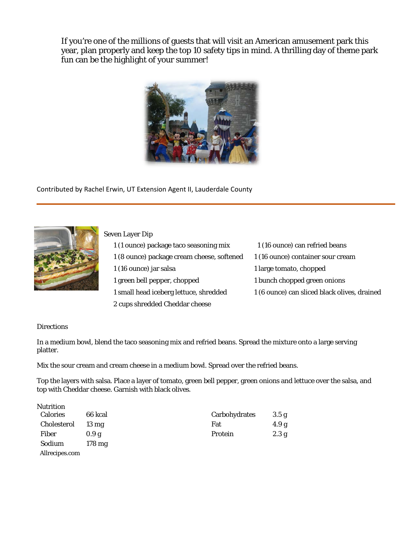If you're one of the millions of guests that will visit an American amusement park this year, plan properly and keep the top 10 safety tips in mind. A thrilling day of theme park fun can be the highlight of your summer!



Contributed by Rachel Erwin, UT Extension Agent II, Lauderdale County



Seven Layer Dip

1 (1 ounce) package taco seasoning mix 1 (16 ounce) can refried beans 1 (8 ounce) package cream cheese, softened 1 (16 ounce) container sour cream 1 (16 ounce) jar salsa 1 large tomato, chopped 1 green bell pepper, chopped 1 bunch chopped green onions 1 small head iceberg lettuce, shredded 1 (6 ounce) can sliced black olives, drained 2 cups shredded Cheddar cheese

#### **Directions**

In a medium bowl, blend the taco seasoning mix and refried beans. Spread the mixture onto a large serving platter.

Mix the sour cream and cream cheese in a medium bowl. Spread over the refried beans.

Top the layers with salsa. Place a layer of tomato, green bell pepper, green onions and lettuce over the salsa, and top with Cheddar cheese. Garnish with black olives.

| <b>Nutrition</b> |                  |               |                  |
|------------------|------------------|---------------|------------------|
| <b>Calories</b>  | 66 kcal          | Carbohydrates | 3.5 <sub>g</sub> |
| Cholesterol      | $13 \text{ mg}$  | Fat           | 4.9 g            |
| Fiber            | 0.9g             | Protein       | 2.3 g            |
| Sodium           | $178 \text{ mg}$ |               |                  |
| Allrecipes.com   |                  |               |                  |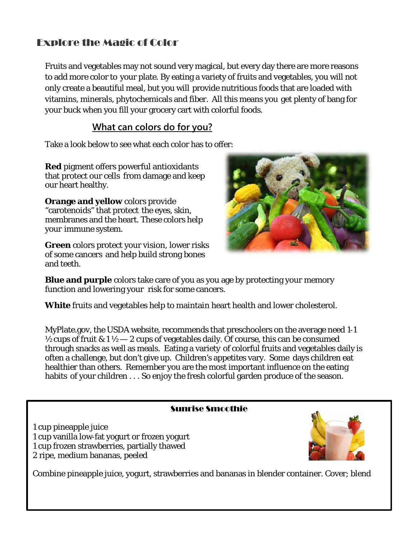## Explore the Magic of Color

Fruits and vegetables may not sound very magical, but every day there are more reasons to add more color to your plate. By eating a variety of fruits and vegetables, you will not only create a beautiful meal, but you will provide nutritious foods that are loaded with vitamins, minerals, phytochemicals and fiber. All this means you get plenty of bang for your buck when you fill your grocery cart with colorful foods.

### **What can colors do for you?**

Take a look below to see what each color has to offer:

**Red** pigment offers powerful antioxidants that protect our cells from damage and keep our heart healthy.

**Orange and yellow** colors provide "carotenoids" that protect the eyes, skin, membranes and the heart. These colors help your immune system.

**Green** colors protect your vision, lower risks of some cancers and help build strong bones and teeth.



**Blue and purple** colors take care of you as you age by protecting your memory function and lowering your risk for some cancers.

**White** fruits and vegetables help to maintain heart health and lower cholesterol.

MyPlate.gov, the USDA website, recommends that preschoolers on the average need 1‐1  $\frac{1}{2}$ cups of fruit & 1  $\frac{1}{2}$  cups of vegetables daily. Of course, this can be consumed through snacks as well as meals. Eating a variety of colorful fruits and vegetables daily is often a challenge, but don't give up. Children's appetites vary. Some days children eat healthier than others. Remember you are the most important influence on the eating habits of your children . . . So enjoy the fresh colorful garden produce of the season.

#### Sunrise Smoothie

1 cup pineapple juice 1 cup vanilla low‐fat yogurt or frozen yogurt 1 cup frozen strawberries, partially thawed 2 ripe, medium bananas, peeled



Combine pineapple juice, yogurt, strawberries and bananas in blender container. Cover; blend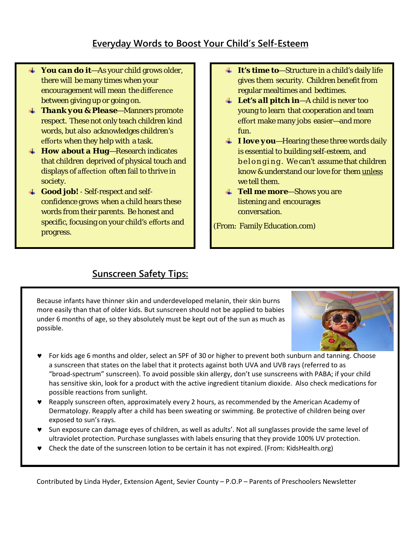### **Everyday Words to Boost Your Child's Self-Esteem**

- *You can do it*—As your child grows older, there will be many times when your encouragement will mean the difference between giving up or going on.
- *Thank you & Please*—Manners promote respect. These not only teach children kind words, but also acknowledges children's efforts when they help with a task.
- *How about a Hug*—Research indicates that children deprived of physical touch and displays of affection often fail to thrive in society.
- *Good job!* ‐ Self-respect and selfconfidence grows when a child hears these words from their parents. Be honest and specific, focusing on your child's efforts and progress.
- *It's time to*—Structure in a child's daily life gives them security. Children benefit from regular mealtimes and bedtimes.
- *Let's all pitch in*—A child is never too young to learn that cooperation and team effort make many jobs easier—and more fun.
- *I I love you*—Hearing these three words daily is essential to building self‐esteem, and belonging . We can't assume that children know & understand our love for them unless we tell them.
- *Tell me more*—Shows you are listening and encourages conversation.

(From: Family Education.com)

# **Sunscreen Safety Tips:**

Because infants have thinner skin and underdeveloped melanin, their skin burns more easily than that of older kids. But sunscreen should not be applied to babies under 6 months of age, so they absolutely must be kept out of the sun as much as possible.



- ♥ For kids age 6 months and older, select an SPF of 30 or higher to prevent both sunburn and tanning. Choose a sunscreen that states on the label that it protects against both UVA and UVB rays (referred to as "broad‐spectrum" sunscreen). To avoid possible skin allergy, don't use sunscreens with PABA; if your child has sensitive skin, look for a product with the active ingredient titanium dioxide. Also check medications for possible reactions from sunlight.
- ♥ Reapply sunscreen often, approximately every 2 hours, as recommended by the American Academy of Dermatology. Reapply after a child has been sweating or swimming. Be protective of children being over exposed to sun's rays.
- ♥ Sun exposure can damage eyes of children, as well as adults'. Not all sunglasses provide the same level of ultraviolet protection. Purchase sunglasses with labels ensuring that they provide 100% UV protection.
- ♥ Check the date of the sunscreen lotion to be certain it has not expired. (From: KidsHealth.org)

Contributed by Linda Hyder, Extension Agent, Sevier County – P.O.P – Parents of Preschoolers Newsletter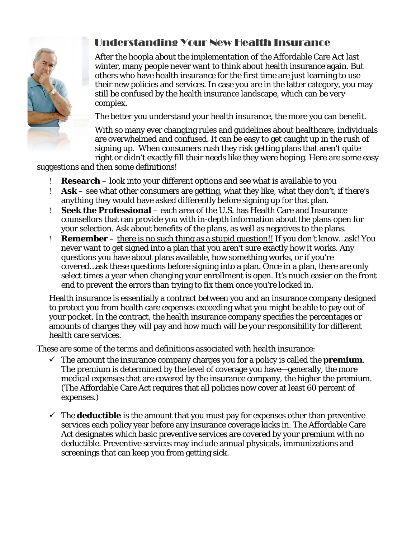

# Understanding Your New Health Insurance

After the hoopla about the implementation of the Affordable Care Act last winter, many people never want to think about health insurance again. But others who have health insurance for the first time are just learning to use their new policies and services. In case you are in the latter category, you may still be confused by the health insurance landscape, which can be very complex.

The better you understand your health insurance, the more you can benefit.

With so many ever changing rules and guidelines about healthcare, individuals are overwhelmed and confused. It can be easy to get caught up in the rush of signing up. When consumers rush they risk getting plans that aren't quite right or didn't exactly fill their needs like they were hoping. Here are some easy

suggestions and then some definitions!

- **Research** look into your different options and see what is available to you
- ! **Ask** see what other consumers are getting, what they like, what they don't, if there's anything they would have asked differently before signing up for that plan.
- ! **Seek the Professional** each area of the U.S. has Health Care and Insurance counsellors that can provide you with in-depth information about the plans open for your selection. Ask about benefits of the plans, as well as negatives to the plans.
- ! **Remember** there is no such thing as a stupid question!! If you don't know…ask! You never want to get signed into a plan that you aren't sure exactly how it works. Any questions you have about plans available, how something works, or if you're covered…ask these questions before signing into a plan. Once in a plan, there are only select times a year when changing your enrollment is open. It's much easier on the front end to prevent the errors than trying to fix them once you're locked in.

Health insurance is essentially a contract between you and an insurance company designed to protect you from health care expenses exceeding what you might be able to pay out of your pocket. In the contract, the health insurance company specifies the percentages or amounts of charges they will pay and how much will be your responsibility for different health care services.

These are some of the terms and definitions associated with health insurance:

- $\checkmark$  The amount the insurance company charges you for a policy is called the **premium**. The premium is determined by the level of coverage you have—generally, the more medical expenses that are covered by the insurance company, the higher the premium. (The Affordable Care Act requires that all policies now cover at least 60 percent of expenses.)
- $\checkmark$  The **deductible** is the amount that you must pay for expenses other than preventive services each policy year before any insurance coverage kicks in. The Affordable Care Act designates which basic preventive services are covered by your premium with no deductible. Preventive services may include annual physicals, immunizations and screenings that can keep you from getting sick.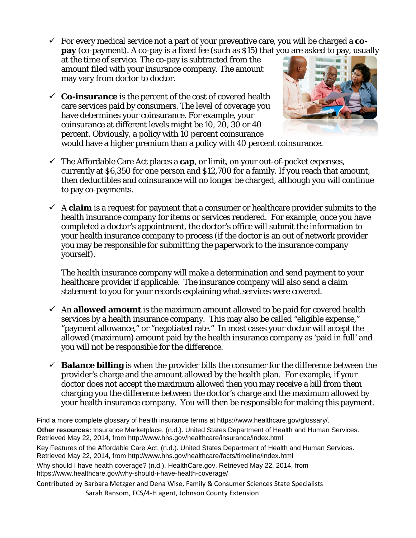For every medical service not a part of your preventive care, you will be charged a **copay** (co-payment). A co-pay is a fixed fee (such as \$15) that you are asked to pay, usually at the time of service. The co-pay is subtracted from the

amount filed with your insurance company. The amount may vary from doctor to doctor.

 $\checkmark$  **Co-insurance** is the percent of the cost of covered health care services paid by consumers. The level of coverage you have determines your coinsurance. For example, your coinsurance at different levels might be 10, 20, 30 or 40 percent. Obviously, a policy with 10 percent coinsurance



would have a higher premium than a policy with 40 percent coinsurance.

- $\checkmark$  The Affordable Care Act places a **cap**, or limit, on your out-of-pocket expenses, currently at \$6,350 for one person and \$12,700 for a family. If you reach that amount, then deductibles and coinsurance will no longer be charged, although you will continue to pay co-payments.
- $\checkmark$  A **claim** is a request for payment that a consumer or healthcare provider submits to the health insurance company for items or services rendered. For example, once you have completed a doctor's appointment, the doctor's office will submit the information to your health insurance company to process (if the doctor is an out of network provider you may be responsible for submitting the paperwork to the insurance company yourself).

The health insurance company will make a determination and send payment to your healthcare provider if applicable. The insurance company will also send a claim statement to you for your records explaining what services were covered.

- $\checkmark$  An **allowed amount** is the maximum amount allowed to be paid for covered health services by a health insurance company. This may also be called "eligible expense," "payment allowance," or "negotiated rate." In most cases your doctor will accept the allowed (maximum) amount paid by the health insurance company as 'paid in full' and you will not be responsible for the difference.
- $\checkmark$  **Balance billing** is when the provider bills the consumer for the difference between the provider's charge and the amount allowed by the health plan. For example, if your doctor does not accept the maximum allowed then you may receive a bill from them charging you the difference between the doctor's charge and the maximum allowed by your health insurance company. You will then be responsible for making this payment.

Find a more complete glossary of health insurance terms at https://www.healthcare.gov/glossary/. **Other resources:** Insurance Marketplace. (n.d.). United States Department of Health and Human Services. Retrieved May 22, 2014, from http://www.hhs.gov/healthcare/insurance/index.html

Key Features of the Affordable Care Act. (n.d.). United States Department of Health and Human Services. Retrieved May 22, 2014, from http://www.hhs.gov/healthcare/facts/timeline/index.html

Why should I have health coverage? (n.d.). HealthCare.gov. Retrieved May 22, 2014, from https://www.healthcare.gov/why-should-i-have-health-coverage/

Contributed by Barbara Metzger and Dena Wise, Family & Consumer Sciences State Specialists Sarah Ransom, FCS/4-H agent, Johnson County Extension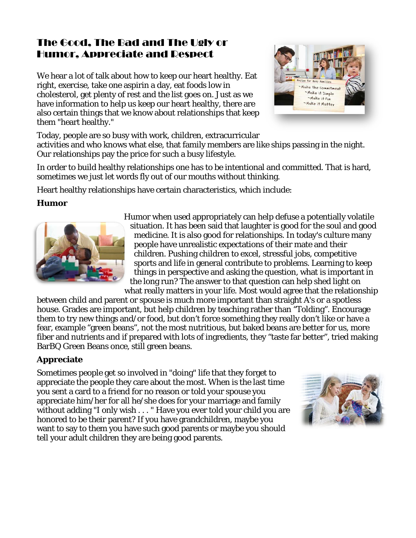# The Good, The Bad and The Ugly or Humor, Appreciate and Respect

We hear a lot of talk about how to keep our heart healthy. Eat right, exercise, take one aspirin a day, eat foods low in cholesterol, get plenty of rest and the list goes on. Just as we have information to help us keep our heart healthy, there are also certain things that we know about relationships that keep them "heart healthy."



Today, people are so busy with work, children, extracurricular activities and who knows what else, that family members are like ships passing in the night. Our relationships pay the price for such a busy lifestyle.

In order to build healthy relationships one has to be intentional and committed. That is hard, sometimes we just let words fly out of our mouths without thinking.

Heart healthy relationships have certain characteristics, which include:

#### **Humor**



Humor when used appropriately can help defuse a potentially volatile situation. It has been said that laughter is good for the soul and good medicine. It is also good for relationships. In today's culture many people have unrealistic expectations of their mate and their children. Pushing children to excel, stressful jobs, competitive sports and life in general contribute to problems. Learning to keep things in perspective and asking the question, what is important in the long run? The answer to that question can help shed light on what really matters in your life. Most would agree that the relationship

between child and parent or spouse is much more important than straight A's or a spotless house. Grades are important, but help children by teaching rather than "Tolding". Encourage them to try new things and/or food, but don't force something they really don't like or have a fear, example "green beans", not the most nutritious, but baked beans are better for us, more fiber and nutrients and if prepared with lots of ingredients, they "taste far better", tried making BarBQ Green Beans once, still green beans.

#### **Appreciate**

Sometimes people get so involved in "doing" life that they forget to appreciate the people they care about the most. When is the last time you sent a card to a friend for no reason or told your spouse you appreciate him/her for all he/she does for your marriage and family without adding "I only wish . . . " Have you ever told your child you are honored to be their parent? If you have grandchildren, maybe you want to say to them you have such good parents or maybe you should tell your adult children they are being good parents.

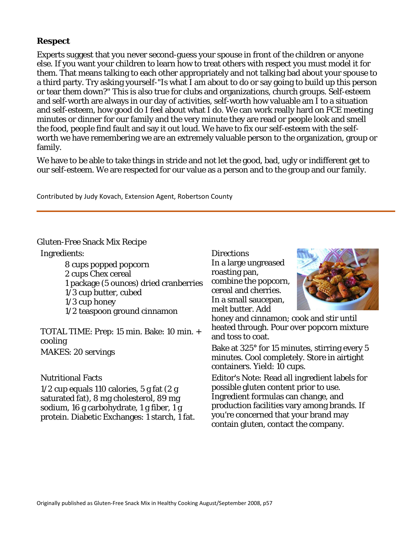#### **Respect**

Experts suggest that you never second-guess your spouse in front of the children or anyone else. If you want your children to learn how to treat others with respect you must model it for them. That means talking to each other appropriately and not talking bad about your spouse to a third party. Try asking yourself-"Is what I am about to do or say going to build up this person or tear them down?" This is also true for clubs and organizations, church groups. Self-esteem and self-worth are always in our day of activities, self-worth how valuable am I to a situation and self-esteem, how good do I feel about what I do. We can work really hard on FCE meeting minutes or dinner for our family and the very minute they are read or people look and smell the food, people find fault and say it out loud. We have to fix our self-esteem with the selfworth we have remembering we are an extremely valuable person to the organization, group or family.

We have to be able to take things in stride and not let the good, bad, ugly or indifferent get to our self-esteem. We are respected for our value as a person and to the group and our family.

Contributed by Judy Kovach, Extension Agent, Robertson County

#### Gluten-Free Snack Mix Recipe

#### Ingredients:

 8 cups popped popcorn 2 cups Chex cereal 1 package (5 ounces) dried cranberries 1/3 cup butter, cubed 1/3 cup honey 1/2 teaspoon ground cinnamon

TOTAL TIME: Prep: 15 min. Bake: 10 min. + cooling MAKES: 20 servings

#### Nutritional Facts

 $1/2$  cup equals 110 calories, 5 g fat  $(2 \text{ g})$ saturated fat), 8 mg cholesterol, 89 mg sodium, 16 g carbohydrate, 1 g fiber, 1 g protein. Diabetic Exchanges: 1 starch, 1 fat. Directions In a large ungreased roasting pan, combine the popcorn, cereal and cherries. In a small saucepan, melt butter. Add



honey and cinnamon; cook and stir until heated through. Pour over popcorn mixture and toss to coat.

Bake at 325° for 15 minutes, stirring every 5 minutes. Cool completely. Store in airtight containers. Yield: 10 cups.

Editor's Note: Read all ingredient labels for possible gluten content prior to use. Ingredient formulas can change, and production facilities vary among brands. If you're concerned that your brand may contain gluten, contact the company.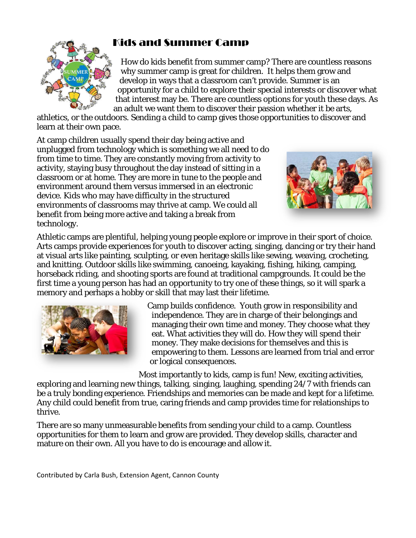# Kids and Summer Camp



#### How do kids benefit from summer camp? There are countless reasons why summer camp is great for children. It helps them grow and develop in ways that a classroom can't provide. Summer is an opportunity for a child to explore their special interests or discover what that interest may be. There are countless options for youth these days. As an adult we want them to discover their passion whether it be arts,

athletics, or the outdoors. Sending a child to camp gives those opportunities to discover and learn at their own pace.

At camp children usually spend their day being active and unplugged from technology which is something we all need to do from time to time. They are constantly moving from activity to activity, staying busy throughout the day instead of sitting in a classroom or at home. They are more in tune to the people and environment around them versus immersed in an electronic device. Kids who may have difficulty in the structured environments of classrooms may thrive at camp. We could all benefit from being more active and taking a break from technology.



Athletic camps are plentiful, helping young people explore or improve in their sport of choice. Arts camps provide experiences for youth to discover acting, singing, dancing or try their hand at visual arts like painting, sculpting, or even heritage skills like sewing, weaving, crocheting, and knitting. Outdoor skills like swimming, canoeing, kayaking, fishing, hiking, camping, horseback riding, and shooting sports are found at traditional campgrounds. It could be the first time a young person has had an opportunity to try one of these things, so it will spark a memory and perhaps a hobby or skill that may last their lifetime.



Camp builds confidence. Youth grow in responsibility and independence. They are in charge of their belongings and managing their own time and money. They choose what they eat. What activities they will do. How they will spend their money. They make decisions for themselves and this is empowering to them. Lessons are learned from trial and error or logical consequences.

Most importantly to kids, camp is fun! New, exciting activities,

exploring and learning new things, talking, singing, laughing, spending 24/7 with friends can be a truly bonding experience. Friendships and memories can be made and kept for a lifetime. Any child could benefit from true, caring friends and camp provides time for relationships to thrive.

There are so many unmeasurable benefits from sending your child to a camp. Countless opportunities for them to learn and grow are provided. They develop skills, character and mature on their own. All you have to do is encourage and allow it.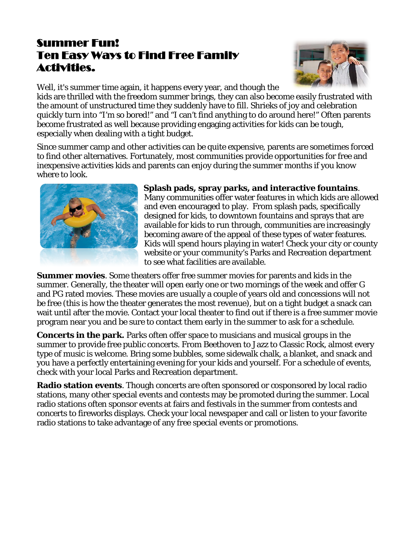# Summer Fun! Ten Easy Ways to Find Free Family Activities.



Well, it's summer time again, it happens every year, and though the kids are thrilled with the freedom summer brings, they can also become easily frustrated with the amount of unstructured time they suddenly have to fill. Shrieks of joy and celebration quickly turn into "I'm so bored!" and "I can't find anything to do around here!" Often parents become frustrated as well because providing engaging activities for kids can be tough, especially when dealing with a tight budget.

Since summer camp and other activities can be quite expensive, parents are sometimes forced to find other alternatives. Fortunately, most communities provide opportunities for free and inexpensive activities kids and parents can enjoy during the summer months if you know where to look.



#### **Splash pads, spray parks, and interactive fountains**. Many communities offer water features in which kids are allowed and even encouraged to play. From splash pads, specifically designed for kids, to downtown fountains and sprays that are available for kids to run through, communities are increasingly becoming aware of the appeal of these types of water features. Kids will spend hours playing in water! Check your city or county website or your community's Parks and Recreation department to see what facilities are available.

**Summer movies**. Some theaters offer free summer movies for parents and kids in the summer. Generally, the theater will open early one or two mornings of the week and offer G and PG rated movies. These movies are usually a couple of years old and concessions will not be free (this is how the theater generates the most revenue), but on a tight budget a snack can wait until after the movie. Contact your local theater to find out if there is a free summer movie program near you and be sure to contact them early in the summer to ask for a schedule.

**Concerts in the park.** Parks often offer space to musicians and musical groups in the summer to provide free public concerts. From Beethoven to Jazz to Classic Rock, almost every type of music is welcome. Bring some bubbles, some sidewalk chalk, a blanket, and snack and you have a perfectly entertaining evening for your kids and yourself. For a schedule of events, check with your local Parks and Recreation department.

**Radio station events**. Though concerts are often sponsored or cosponsored by local radio stations, many other special events and contests may be promoted during the summer. Local radio stations often sponsor events at fairs and festivals in the summer from contests and concerts to fireworks displays. Check your local newspaper and call or listen to your favorite radio stations to take advantage of any free special events or promotions.